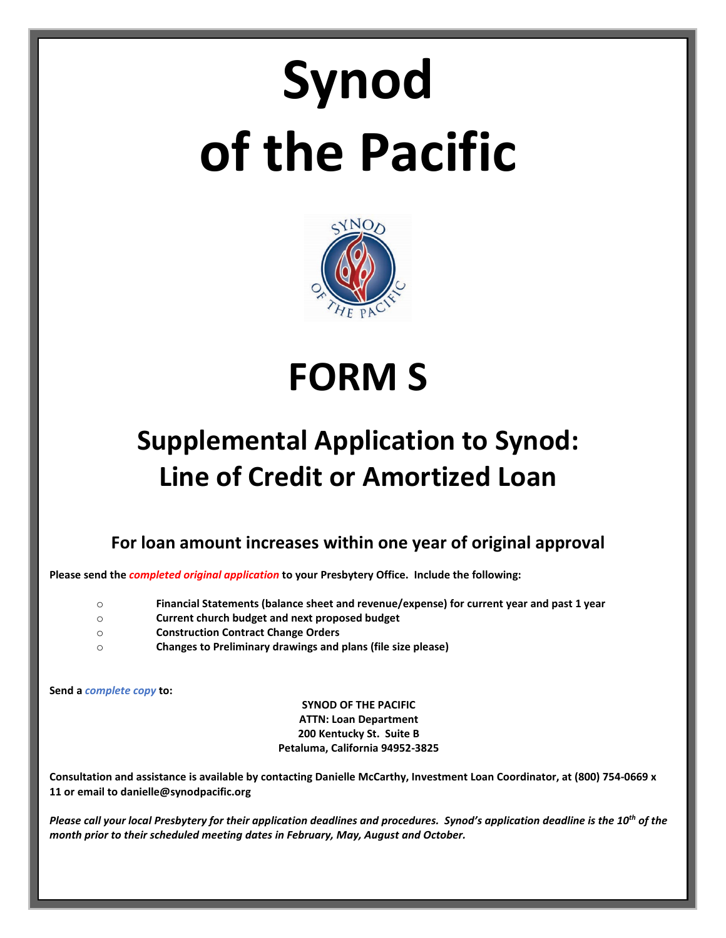# **Synod of the Pacific**



**FORM S**

# **Supplemental Application to Synod: Line of Credit or Amortized Loan**

**For loan amount increases within one year of original approval**

**Please send the** *completed original application* **to your Presbytery Office. Include the following:**

- o **Financial Statements (balance sheet and revenue/expense) for current year and past 1 year**
- o **Current church budget and next proposed budget**
- o **Construction Contract Change Orders**
- o **Changes to Preliminary drawings and plans (file size please)**

**Send a** *complete copy* **to:**

**SYNOD OF THE PACIFIC ATTN: Loan Department 200 Kentucky St. Suite B Petaluma, California 94952-3825**

**Consultation and assistance is available by contacting Danielle McCarthy, Investment Loan Coordinator, at (800) 754-0669 x 11 or email to danielle@synodpacific.org**

*Please call your local Presbytery for their application deadlines and procedures. Synod's application deadline is the 10th of the month prior to their scheduled meeting dates in February, May, August and October.*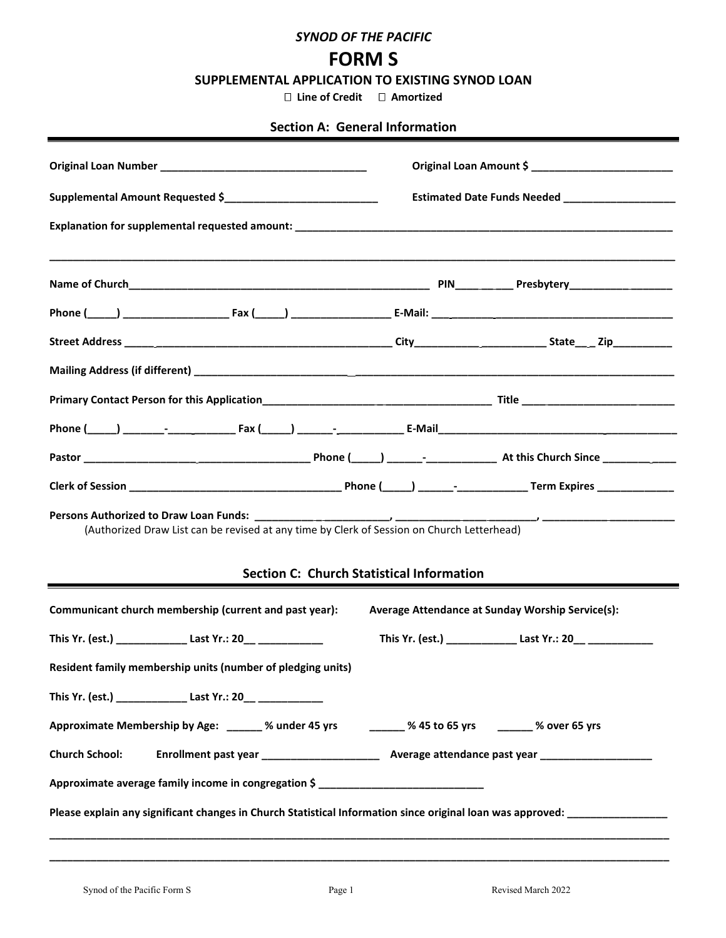#### *SYNOD OF THE PACIFIC*

# **FORM S**

**SUPPLEMENTAL APPLICATION TO EXISTING SYNOD LOAN**

 **Line of Credit Amortized**

## **Section A: General Information**

|                       |                                                                                  | Supplemental Amount Requested \$ |                                                                                                      | Estimated Date Funds Needed _____________________                                                                    |
|-----------------------|----------------------------------------------------------------------------------|----------------------------------|------------------------------------------------------------------------------------------------------|----------------------------------------------------------------------------------------------------------------------|
|                       |                                                                                  |                                  |                                                                                                      |                                                                                                                      |
|                       |                                                                                  |                                  |                                                                                                      |                                                                                                                      |
|                       |                                                                                  |                                  |                                                                                                      |                                                                                                                      |
|                       |                                                                                  |                                  |                                                                                                      |                                                                                                                      |
|                       |                                                                                  |                                  |                                                                                                      |                                                                                                                      |
|                       |                                                                                  |                                  |                                                                                                      |                                                                                                                      |
|                       |                                                                                  |                                  |                                                                                                      |                                                                                                                      |
|                       |                                                                                  |                                  |                                                                                                      |                                                                                                                      |
|                       |                                                                                  |                                  |                                                                                                      |                                                                                                                      |
|                       |                                                                                  |                                  |                                                                                                      |                                                                                                                      |
|                       |                                                                                  |                                  |                                                                                                      |                                                                                                                      |
|                       |                                                                                  |                                  | (Authorized Draw List can be revised at any time by Clerk of Session on Church Letterhead)           |                                                                                                                      |
|                       |                                                                                  |                                  | <b>Section C: Church Statistical Information</b>                                                     |                                                                                                                      |
|                       | Communicant church membership (current and past year):                           |                                  |                                                                                                      | Average Attendance at Sunday Worship Service(s):                                                                     |
|                       | This Yr. (est.) _________________________Last Yr.: 20___ _______________________ |                                  |                                                                                                      |                                                                                                                      |
|                       | Resident family membership units (number of pledging units)                      |                                  |                                                                                                      |                                                                                                                      |
|                       |                                                                                  |                                  |                                                                                                      |                                                                                                                      |
|                       |                                                                                  |                                  | Approximate Membership by Age: 30 % 20 % 45 yrs 3 % 45 to 65 yrs 3 % 60 % 45 to 65 yrs 45 yrs 45 yrs |                                                                                                                      |
| <b>Church School:</b> |                                                                                  |                                  |                                                                                                      |                                                                                                                      |
|                       |                                                                                  |                                  | Approximate average family income in congregation \$ ____________________________                    |                                                                                                                      |
|                       |                                                                                  |                                  |                                                                                                      | Please explain any significant changes in Church Statistical Information since original loan was approved: _________ |
|                       |                                                                                  |                                  |                                                                                                      |                                                                                                                      |

**\_\_\_\_\_\_\_\_\_\_\_\_\_\_\_\_\_\_\_\_\_\_\_\_\_\_\_\_\_\_\_\_\_\_\_\_\_\_\_\_\_\_\_\_\_\_\_\_\_\_\_\_\_\_\_\_\_\_\_\_\_\_\_\_\_\_\_\_\_\_\_\_\_\_\_\_\_\_\_\_\_\_\_\_\_\_\_\_\_\_\_\_\_\_\_\_\_\_\_\_\_\_\_\_\_**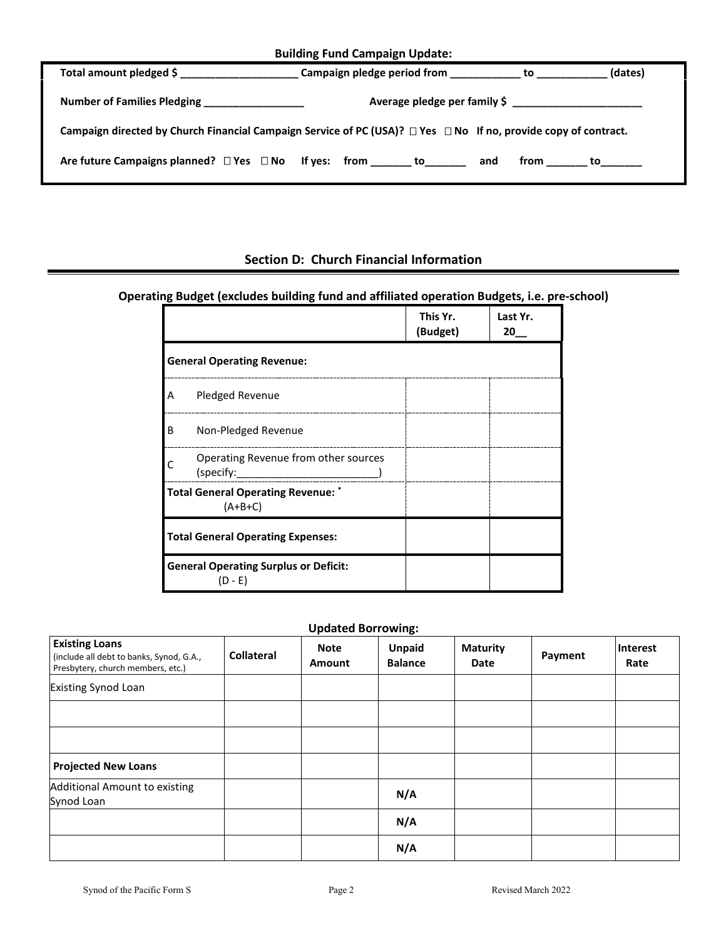| <b>Building Fund Campaign Update:</b> |  |  |
|---------------------------------------|--|--|
|---------------------------------------|--|--|

| Total amount pledged \$ _____________________ |                                                                                                                           | (dates)                |
|-----------------------------------------------|---------------------------------------------------------------------------------------------------------------------------|------------------------|
| Number of Families Pledging _________________ |                                                                                                                           |                        |
|                                               | Campaign directed by Church Financial Campaign Service of PC (USA)? $\Box$ Yes $\Box$ No If no, provide copy of contract. |                        |
|                                               | Are future Campaigns planned? $\square$ Yes $\square$ No If yes: from _______ to_______ and                               | from _______ to_______ |

# **Section D: Church Financial Information**

# **Operating Budget (excludes building fund and affiliated operation Budgets, i.e. pre-school)**

|   |                                                           | This Yr.<br>(Budget) | Last Yr.<br>20 |
|---|-----------------------------------------------------------|----------------------|----------------|
|   | <b>General Operating Revenue:</b>                         |                      |                |
| А | Pledged Revenue                                           |                      |                |
| B | Non-Pledged Revenue                                       |                      |                |
|   | Operating Revenue from other sources<br>(specify:         |                      |                |
|   | <b>Total General Operating Revenue:</b><br>$(A+B+C)$      |                      |                |
|   | <b>Total General Operating Expenses:</b>                  |                      |                |
|   | <b>General Operating Surplus or Deficit:</b><br>$(D - E)$ |                      |                |

# **Updated Borrowing:**

| <b>Existing Loans</b><br>(include all debt to banks, Synod, G.A.,<br>Presbytery, church members, etc.) | <b>Collateral</b> | <b>Note</b><br><b>Amount</b> | <b>Unpaid</b><br><b>Balance</b> | <b>Maturity</b><br>Date | Payment | Interest<br>Rate |
|--------------------------------------------------------------------------------------------------------|-------------------|------------------------------|---------------------------------|-------------------------|---------|------------------|
| <b>Existing Synod Loan</b>                                                                             |                   |                              |                                 |                         |         |                  |
|                                                                                                        |                   |                              |                                 |                         |         |                  |
|                                                                                                        |                   |                              |                                 |                         |         |                  |
| <b>Projected New Loans</b>                                                                             |                   |                              |                                 |                         |         |                  |
| Additional Amount to existing<br>Synod Loan                                                            |                   |                              | N/A                             |                         |         |                  |
|                                                                                                        |                   |                              | N/A                             |                         |         |                  |
|                                                                                                        |                   |                              | N/A                             |                         |         |                  |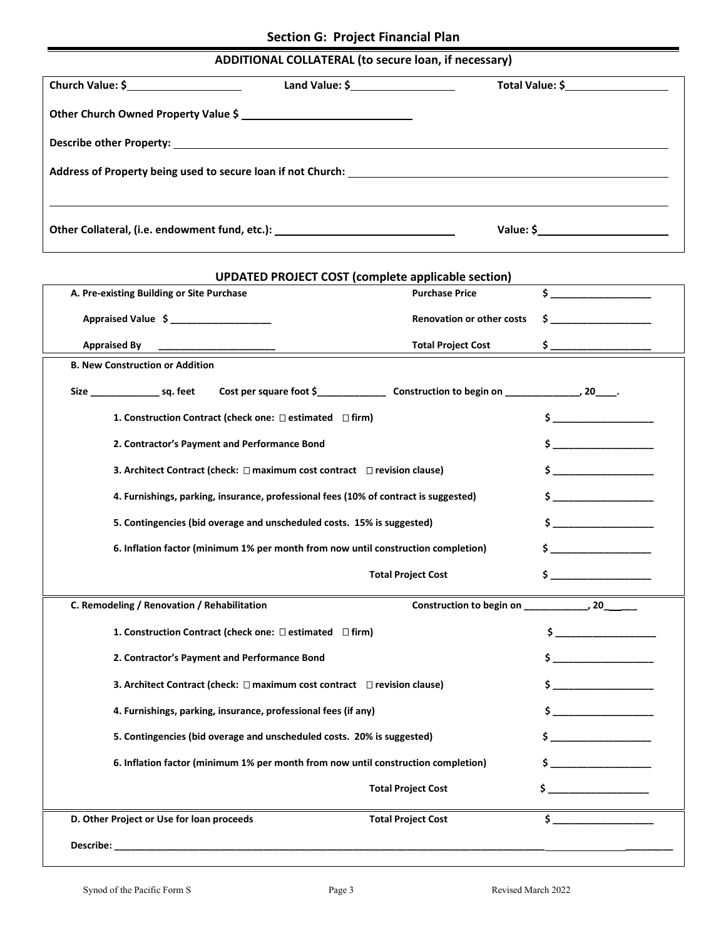# **ADDITIONAL COLLATERAL (to secure loan, if necessary)**

| Church Value: \$ | Land Value: $\frac{2}{3}$ [100]                                                                                                                                                                                                | Total Value: \$____________________                                                                                                                                                                                                                                                                                   |  |
|------------------|--------------------------------------------------------------------------------------------------------------------------------------------------------------------------------------------------------------------------------|-----------------------------------------------------------------------------------------------------------------------------------------------------------------------------------------------------------------------------------------------------------------------------------------------------------------------|--|
|                  | Other Church Owned Property Value \$                                                                                                                                                                                           |                                                                                                                                                                                                                                                                                                                       |  |
|                  | Describe other Property: New York Change of the Change of the Change of the Change of the Change of the Change of the Change of the Change of the Change of the Change of the Change of the Change of the Change of the Change |                                                                                                                                                                                                                                                                                                                       |  |
|                  | Address of Property being used to secure loan if not Church: Network and the second second second second second second second second second second second second second second second second second second second second secon |                                                                                                                                                                                                                                                                                                                       |  |
|                  |                                                                                                                                                                                                                                |                                                                                                                                                                                                                                                                                                                       |  |
|                  | Other Collateral, (i.e. endowment fund, etc.): _________________________________                                                                                                                                               | Value: $\frac{1}{2}$ $\frac{1}{2}$ $\frac{1}{2}$ $\frac{1}{2}$ $\frac{1}{2}$ $\frac{1}{2}$ $\frac{1}{2}$ $\frac{1}{2}$ $\frac{1}{2}$ $\frac{1}{2}$ $\frac{1}{2}$ $\frac{1}{2}$ $\frac{1}{2}$ $\frac{1}{2}$ $\frac{1}{2}$ $\frac{1}{2}$ $\frac{1}{2}$ $\frac{1}{2}$ $\frac{1}{2}$ $\frac{1}{2}$ $\frac{1}{2}$ $\frac{$ |  |

| <b>UPDATED PROJECT COST (complete applicable section)</b>                            |                                                                                                                                                                                                                                                                                                           |
|--------------------------------------------------------------------------------------|-----------------------------------------------------------------------------------------------------------------------------------------------------------------------------------------------------------------------------------------------------------------------------------------------------------|
| <b>Purchase Price</b>                                                                |                                                                                                                                                                                                                                                                                                           |
| <b>Renovation or other costs</b>                                                     | $\mathsf{s}$ ______________                                                                                                                                                                                                                                                                               |
| <b>Total Project Cost</b>                                                            |                                                                                                                                                                                                                                                                                                           |
|                                                                                      |                                                                                                                                                                                                                                                                                                           |
|                                                                                      |                                                                                                                                                                                                                                                                                                           |
| 1. Construction Contract (check one: □ estimated □ firm)                             | $\sim$ $\sim$                                                                                                                                                                                                                                                                                             |
|                                                                                      |                                                                                                                                                                                                                                                                                                           |
| 3. Architect Contract (check: $\Box$ maximum cost contract $\Box$ revision clause)   | $\mathsf{\hat{S}}$                                                                                                                                                                                                                                                                                        |
| 4. Furnishings, parking, insurance, professional fees (10% of contract is suggested) | $\frac{1}{2}$                                                                                                                                                                                                                                                                                             |
| 5. Contingencies (bid overage and unscheduled costs. 15% is suggested)               |                                                                                                                                                                                                                                                                                                           |
| 6. Inflation factor (minimum 1% per month from now until construction completion)    | $\mathsf{s}$ _________                                                                                                                                                                                                                                                                                    |
| <b>Total Project Cost</b>                                                            | $\sim$                                                                                                                                                                                                                                                                                                    |
|                                                                                      |                                                                                                                                                                                                                                                                                                           |
| 1. Construction Contract (check one: □ estimated □ firm)                             | $\frac{1}{2}$ , $\frac{1}{2}$ , $\frac{1}{2}$ , $\frac{1}{2}$ , $\frac{1}{2}$ , $\frac{1}{2}$ , $\frac{1}{2}$ , $\frac{1}{2}$ , $\frac{1}{2}$ , $\frac{1}{2}$ , $\frac{1}{2}$ , $\frac{1}{2}$ , $\frac{1}{2}$ , $\frac{1}{2}$ , $\frac{1}{2}$ , $\frac{1}{2}$ , $\frac{1}{2}$ , $\frac{1}{2}$ , $\frac{1$ |
|                                                                                      | $\sim$                                                                                                                                                                                                                                                                                                    |
| 3. Architect Contract (check: $\Box$ maximum cost contract $\Box$ revision clause)   | $\frac{1}{2}$                                                                                                                                                                                                                                                                                             |
| 4. Furnishings, parking, insurance, professional fees (if any)                       |                                                                                                                                                                                                                                                                                                           |
| 5. Contingencies (bid overage and unscheduled costs. 20% is suggested)               | $\sim$                                                                                                                                                                                                                                                                                                    |
| 6. Inflation factor (minimum 1% per month from now until construction completion)    | $\ddot{\textbf{s}}$                                                                                                                                                                                                                                                                                       |
| <b>Total Project Cost</b>                                                            | $\sim$                                                                                                                                                                                                                                                                                                    |
| <b>Total Project Cost</b>                                                            | $\sim$                                                                                                                                                                                                                                                                                                    |
|                                                                                      |                                                                                                                                                                                                                                                                                                           |
|                                                                                      | Construction to begin on ________________, 20________                                                                                                                                                                                                                                                     |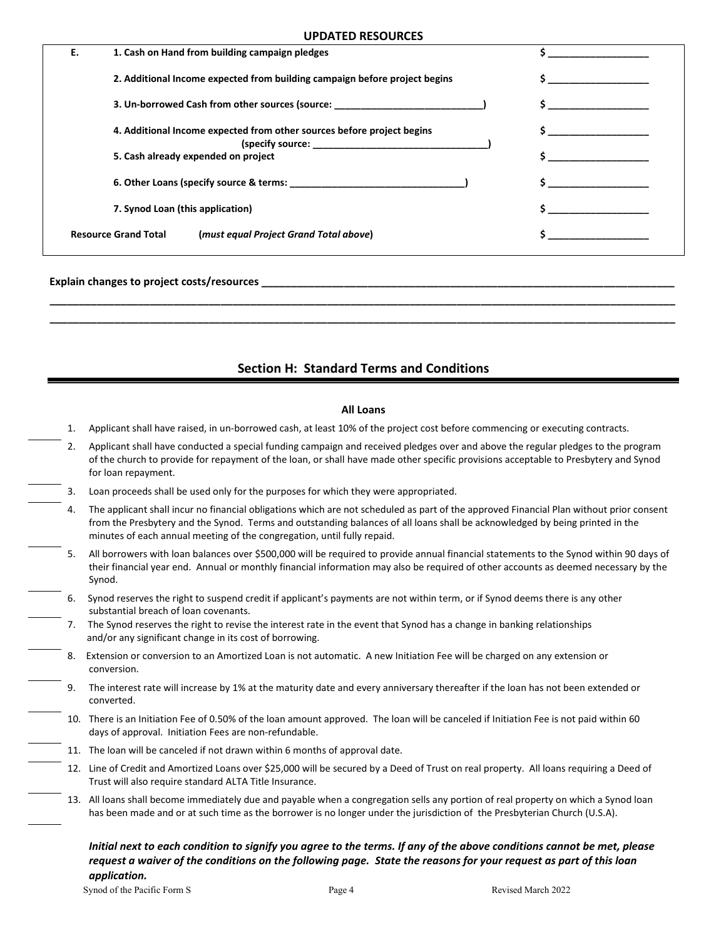#### **UPDATED RESOURCES**

| Ε. | 1. Cash on Hand from building campaign pledges                             |  |
|----|----------------------------------------------------------------------------|--|
|    | 2. Additional Income expected from building campaign before project begins |  |
|    | 3. Un-borrowed Cash from other sources (source:                            |  |
|    | 4. Additional Income expected from other sources before project begins     |  |
|    | 5. Cash already expended on project                                        |  |
|    | 6. Other Loans (specify source & terms:                                    |  |
|    | 7. Synod Loan (this application)                                           |  |
|    | <b>Resource Grand Total</b><br>(must equal Project Grand Total above)      |  |

#### **Explain changes to project costs/resources \_\_\_\_\_\_\_\_\_\_\_\_\_\_\_\_\_\_\_\_\_\_\_\_\_\_\_\_\_\_\_\_\_\_\_\_\_\_\_\_\_\_\_\_\_\_\_\_\_\_\_\_\_\_\_\_\_\_\_\_\_\_\_\_\_\_\_\_\_\_**

#### **Section H: Standard Terms and Conditions**

 **\_\_\_\_\_\_\_\_\_\_\_\_\_\_\_\_\_\_\_\_\_\_\_\_\_\_\_\_\_\_\_\_\_\_\_\_\_\_\_\_\_\_\_\_\_\_\_\_\_\_\_\_\_\_\_\_\_\_\_\_\_\_\_\_\_\_\_\_\_\_\_\_\_\_\_\_\_\_\_\_\_\_\_\_\_\_\_\_\_\_\_\_\_\_\_\_\_\_\_\_\_\_\_\_\_\_ \_\_\_\_\_\_\_\_\_\_\_\_\_\_\_\_\_\_\_\_\_\_\_\_\_\_\_\_\_\_\_\_\_\_\_\_\_\_\_\_\_\_\_\_\_\_\_\_\_\_\_\_\_\_\_\_\_\_\_\_\_\_\_\_\_\_\_\_\_\_\_\_\_\_\_\_\_\_\_\_\_\_\_\_\_\_\_\_\_\_\_\_\_\_\_\_\_\_\_\_\_\_\_\_\_\_**

#### **All Loans**

- 1. Applicant shall have raised, in un-borrowed cash, at least 10% of the project cost before commencing or executing contracts.
- 2. Applicant shall have conducted a special funding campaign and received pledges over and above the regular pledges to the program of the church to provide for repayment of the loan, or shall have made other specific provisions acceptable to Presbytery and Synod for loan repayment.
- 3. Loan proceeds shall be used only for the purposes for which they were appropriated.
	- 4. The applicant shall incur no financial obligations which are not scheduled as part of the approved Financial Plan without prior consent from the Presbytery and the Synod. Terms and outstanding balances of all loans shall be acknowledged by being printed in the minutes of each annual meeting of the congregation, until fully repaid.
	- All borrowers with loan balances over \$500,000 will be required to provide annual financial statements to the Synod within 90 days of their financial year end. Annual or monthly financial information may also be required of other accounts as deemed necessary by the Synod.
- 6. Synod reserves the right to suspend credit if applicant's payments are not within term, or if Synod deems there is any other substantial breach of loan covenants.
- 7. The Synod reserves the right to revise the interest rate in the event that Synod has a change in banking relationships and/or any significant change in its cost of borrowing.
- 8. Extension or conversion to an Amortized Loan is not automatic. A new Initiation Fee will be charged on any extension or conversion.
	- 9. The interest rate will increase by 1% at the maturity date and every anniversary thereafter if the loan has not been extended or converted.
- 10. There is an Initiation Fee of 0.50% of the loan amount approved. The loan will be canceled if Initiation Fee is not paid within 60 days of approval. Initiation Fees are non-refundable.
	- 11. The loan will be canceled if not drawn within 6 months of approval date.
		- 12. Line of Credit and Amortized Loans over \$25,000 will be secured by a Deed of Trust on real property. All loans requiring a Deed of Trust will also require standard ALTA Title Insurance.
		- 13. All loans shall become immediately due and payable when a congregation sells any portion of real property on which a Synod loan has been made and or at such time as the borrower is no longer under the jurisdiction of the Presbyterian Church (U.S.A).

*Initial next to each condition to signify you agree to the terms. If any of the above conditions cannot be met, please request a waiver of the conditions on the following page. State the reasons for your request as part of this loan application.*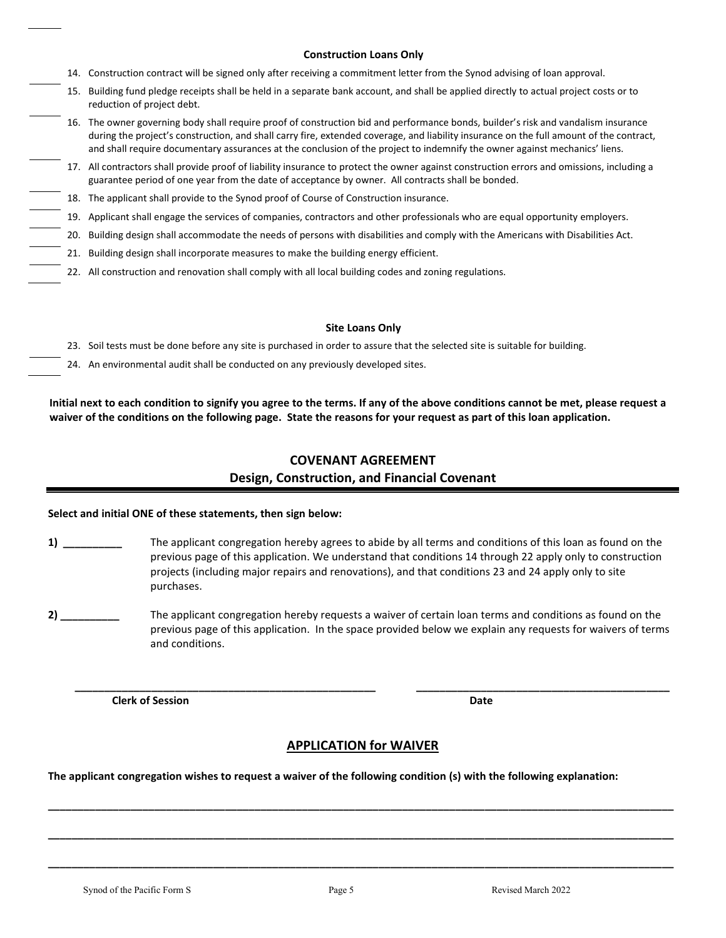#### **Construction Loans Only**

- 14. Construction contract will be signed only after receiving a commitment letter from the Synod advising of loan approval.
- 15. Building fund pledge receipts shall be held in a separate bank account, and shall be applied directly to actual project costs or to reduction of project debt.
- 16. The owner governing body shall require proof of construction bid and performance bonds, builder's risk and vandalism insurance during the project's construction, and shall carry fire, extended coverage, and liability insurance on the full amount of the contract, and shall require documentary assurances at the conclusion of the project to indemnify the owner against mechanics' liens.
- 17. All contractors shall provide proof of liability insurance to protect the owner against construction errors and omissions, including a guarantee period of one year from the date of acceptance by owner. All contracts shall be bonded.
- 18. The applicant shall provide to the Synod proof of Course of Construction insurance.
- 19. Applicant shall engage the services of companies, contractors and other professionals who are equal opportunity employers.
- 20. Building design shall accommodate the needs of persons with disabilities and comply with the Americans with Disabilities Act.
- 21. Building design shall incorporate measures to make the building energy efficient.
- 22. All construction and renovation shall comply with all local building codes and zoning regulations.

#### **Site Loans Only**

- 23. Soil tests must be done before any site is purchased in order to assure that the selected site is suitable for building.
- 24. An environmental audit shall be conducted on any previously developed sites.

**Initial next to each condition to signify you agree to the terms. If any of the above conditions cannot be met, please request a waiver of the conditions on the following page. State the reasons for your request as part of this loan application.**

## **COVENANT AGREEMENT Design, Construction, and Financial Covenant**

#### **Select and initial ONE of these statements, then sign below:**

- **1) \_\_\_\_\_\_\_\_\_\_** The applicant congregation hereby agrees to abide by all terms and conditions of this loan as found on the previous page of this application. We understand that conditions 14 through 22 apply only to construction projects (including major repairs and renovations), and that conditions 23 and 24 apply only to site purchases.
- **2)** The applicant congregation hereby requests a waiver of certain loan terms and conditions as found on the previous page of this application. In the space provided below we explain any requests for waivers of terms and conditions.

*Clerk of Session* Date **Date 2018** 

#### **APPLICATION for WAIVER**

**\_\_\_\_\_\_\_\_\_\_\_\_\_\_\_\_\_\_\_\_\_\_\_\_\_\_\_\_\_\_\_\_\_\_\_\_\_\_\_\_\_\_\_\_\_\_\_\_\_\_\_\_\_\_\_\_\_\_\_\_\_\_\_\_\_\_\_\_\_\_\_\_\_\_\_\_\_\_\_\_\_\_\_\_\_\_\_\_\_\_\_\_\_\_\_\_\_\_\_\_\_\_\_\_\_\_**

**\_\_\_\_\_\_\_\_\_\_\_\_\_\_\_\_\_\_\_\_\_\_\_\_\_\_\_\_\_\_\_\_\_\_\_\_\_\_\_\_\_\_\_\_\_\_\_\_\_\_\_\_\_\_\_\_\_\_\_\_\_\_\_\_\_\_\_\_\_\_\_\_\_\_\_\_\_\_\_\_\_\_\_\_\_\_\_\_\_\_\_\_\_\_\_\_\_\_\_\_\_\_\_\_\_\_**

**\_\_\_\_\_\_\_\_\_\_\_\_\_\_\_\_\_\_\_\_\_\_\_\_\_\_\_\_\_\_\_\_\_\_\_\_\_\_\_\_\_\_\_\_\_\_\_\_\_\_\_\_\_\_\_\_\_\_\_\_\_\_\_\_\_\_\_\_\_\_\_\_\_\_\_\_\_\_\_\_\_\_\_\_\_\_\_\_\_\_\_\_\_\_\_\_\_\_\_\_\_\_\_\_\_\_**

 **\_\_\_\_\_\_\_\_\_\_\_\_\_\_\_\_\_\_\_\_\_\_\_\_\_\_\_\_\_\_\_\_\_\_\_\_\_\_\_\_\_\_\_\_\_\_\_\_\_\_\_ \_\_\_\_\_\_\_\_\_\_\_\_\_\_\_\_\_\_\_\_\_\_\_\_\_\_\_\_\_\_\_\_\_\_\_\_\_\_\_\_\_\_\_** 

**The applicant congregation wishes to request a waiver of the following condition (s) with the following explanation:**